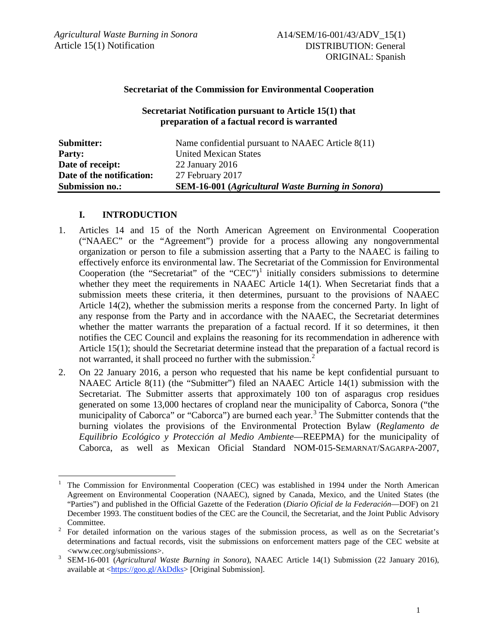### **Secretariat of the Commission for Environmental Cooperation**

#### **Secretariat Notification pursuant to Article 15(1) that preparation of a factual record is warranted**

| Submitter:                | Name confidential pursuant to NAAEC Article 8(11)        |
|---------------------------|----------------------------------------------------------|
| <b>Party:</b>             | <b>United Mexican States</b>                             |
| Date of receipt:          | 22 January $2016$                                        |
| Date of the notification: | 27 February 2017                                         |
| <b>Submission no.:</b>    | <b>SEM-16-001</b> (Agricultural Waste Burning in Sonora) |

#### **I. INTRODUCTION**

- 1. Articles 14 and 15 of the North American Agreement on Environmental Cooperation ("NAAEC" or the "Agreement") provide for a process allowing any nongovernmental organization or person to file a submission asserting that a Party to the NAAEC is failing to effectively enforce its environmental law. The Secretariat of the Commission for Environmental Cooperation (the "Secretariat" of the "CEC")<sup>[1](#page-0-0)</sup> initially considers submissions to determine whether they meet the requirements in NAAEC Article 14(1). When Secretariat finds that a submission meets these criteria, it then determines, pursuant to the provisions of NAAEC Article 14(2), whether the submission merits a response from the concerned Party. In light of any response from the Party and in accordance with the NAAEC, the Secretariat determines whether the matter warrants the preparation of a factual record. If it so determines, it then notifies the CEC Council and explains the reasoning for its recommendation in adherence with Article 15(1); should the Secretariat determine instead that the preparation of a factual record is not warranted, it shall proceed no further with the submission.<sup>[2](#page-0-1)</sup>
- 2. On 22 January 2016, a person who requested that his name be kept confidential pursuant to NAAEC Article 8(11) (the "Submitter") filed an NAAEC Article 14(1) submission with the Secretariat. The Submitter asserts that approximately 100 ton of asparagus crop residues generated on some 13,000 hectares of cropland near the municipality of Caborca, Sonora ("the municipality of Caborca" or "Caborca") are burned each year.<sup>[3](#page-0-2)</sup> The Submitter contends that the burning violates the provisions of the Environmental Protection Bylaw (*Reglamento de Equilibrio Ecológico y Protección al Medio Ambiente*—REEPMA) for the municipality of Caborca, as well as Mexican Oficial Standard NOM-015-SEMARNAT/SAGARPA-2007,

<span id="page-0-0"></span> <sup>1</sup> The Commission for Environmental Cooperation (CEC) was established in 1994 under the North American Agreement on Environmental Cooperation (NAAEC), signed by Canada, Mexico, and the United States (the "Parties") and published in the Official Gazette of the Federation (*Diario Oficial de la Federación*—DOF) on 21 December 1993. The constituent bodies of the CEC are the Council, the Secretariat, and the Joint Public Advisory

<span id="page-0-1"></span>Committee. <sup>2</sup> For detailed information on the various stages of the submission process, as well as on the Secretariat's determinations and factual records, visit the submissions on enforcement matters page of the CEC website at <www.cec.org/submissions>. 3 SEM-16-001 (*Agricultural Waste Burning in Sonora*), NAAEC Article 14(1) Submission (22 January 2016),

<span id="page-0-2"></span>available at [<https://goo.gl/AkDdks>](https://goo.gl/AkDdks) [Original Submission].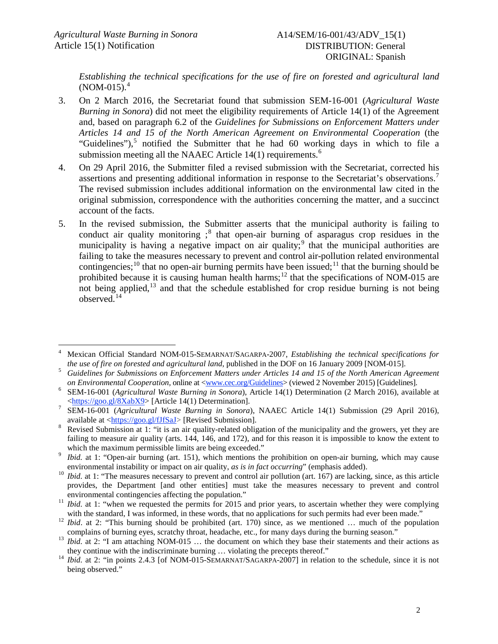*Establishing the technical specifications for the use of fire on forested and agricultural land*   $(NOM-015)$ <sup>[4](#page-1-0)</sup>

- 3. On 2 March 2016, the Secretariat found that submission SEM-16-001 (*Agricultural Waste Burning in Sonora*) did not meet the eligibility requirements of Article 14(1) of the Agreement and, based on paragraph 6.2 of the *Guidelines for Submissions on Enforcement Matters under Articles 14 and 15 of the North American Agreement on Environmental Cooperation* (the "Guidelines"), $5$  notified the Submitter that he had 60 working days in which to file a submission meeting all the NAAEC Article 14(1) requirements.<sup>[6](#page-1-2)</sup>
- 4. On 29 April 2016, the Submitter filed a revised submission with the Secretariat, corrected his assertions and presenting additional information in response to the Secretariat's observations.[7](#page-1-3) The revised submission includes additional information on the environmental law cited in the original submission, correspondence with the authorities concerning the matter, and a succinct account of the facts.
- 5. In the revised submission, the Submitter asserts that the municipal authority is failing to conduct air quality monitoring  $\chi^8$  $\chi^8$  that open-air burning of asparagus crop residues in the municipality is having a negative impact on air quality;<sup>[9](#page-1-5)</sup> that the municipal authorities are failing to take the measures necessary to prevent and control air-pollution related environmental contingencies;<sup>[10](#page-1-6)</sup> that no open-air burning permits have been issued;<sup>[11](#page-1-7)</sup> that the burning should be prohibited because it is causing human health harms;<sup>[12](#page-1-8)</sup> that the specifications of NOM-015 are not being applied, $^{13}$  $^{13}$  $^{13}$  and that the schedule established for crop residue burning is not being observed.[14](#page-1-10)

<span id="page-1-0"></span> <sup>4</sup> Mexican Official Standard NOM-015-SEMARNAT/SAGARPA-2007, *Establishing the technical specifications for*  the use of fire on forested and agricultural land, published in the DOF on 16 January 2009 [NOM-015].<br><sup>5</sup> Guidelines for Submissions on Enforcement Matters under Articles 14 and 15 of the North American Agreement

<span id="page-1-1"></span>

<span id="page-1-2"></span>on Environmental Cooperation, online at <<u>www.cec.org/Guidelines</u>> (viewed 2 November 2015) [Guidelines].<br><sup>6</sup> SEM-16-001 (Agricultural Waste Burning in Sonora), Article 14(1) Determination (2 March 2016), available at  $\frac{\text{thttps://geo.gl/8XabX9}}{\text{Stmtps/}/\text{go0.gl/8XabX9}}$  [Article 14(1) Determination].<br>SEM-16-001 (*Agricultural Waste Burning in Sonora*), NAAEC Article 14(1) Submission (29 April 2016),

<span id="page-1-3"></span>available at  $\frac{\text{https://goo.gl/fIfSaJ}}{\text{Revised Submission}}$  [Revised Submission].<br>Revised Submission at 1: "it is an air quality-related obligation of the municipality and the growers, yet they are

<span id="page-1-4"></span>failing to measure air quality (arts. 144, 146, and 172), and for this reason it is impossible to know the extent to

<span id="page-1-5"></span>which the maximum permissible limits are being exceeded."<br>*Ibid.* at 1: "Open-air burning (art. 151), which mentions the prohibition on open-air burning, which may cause<br>environmental instability or impact on air quality,

<span id="page-1-6"></span><sup>&</sup>lt;sup>10</sup> *Ibid.* at 1: "The measures necessary to prevent and control air pollution (art. 167) are lacking, since, as this article provides, the Department [and other entities] must take the measures necessary to prevent and control

<span id="page-1-7"></span>environmental contingencies affecting the population."<br><sup>11</sup> *Ibid.* at 1: "when we requested the permits for 2015 and prior years, to ascertain whether they were complying

<span id="page-1-8"></span>with the standard, I was informed, in these words, that no applications for such permits had ever been made."<br><sup>12</sup> *Ibid.* at 2: "This burning should be prohibited (art. 170) since, as we mentioned ... much of the populat

<span id="page-1-9"></span><sup>&</sup>lt;sup>13</sup> *Ibid.* at 2: "I am attaching NOM-015 ... the document on which they base their statements and their actions as they continue with the indiscriminate burning ... violating the precepts thereof."

<span id="page-1-10"></span><sup>&</sup>lt;sup>14</sup> *Ibid.* at 2: "in points 2.4.3 [of NOM-015-SEMARNAT/SAGARPA-2007] in relation to the schedule, since it is not being observed."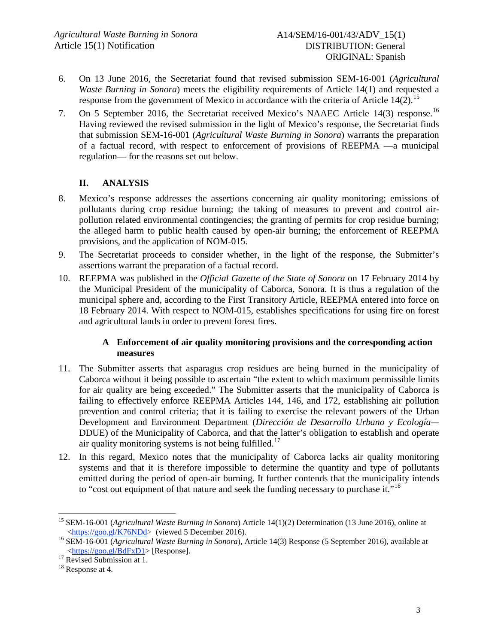- 6. On 13 June 2016, the Secretariat found that revised submission SEM-16-001 (*Agricultural Waste Burning in Sonora*) meets the eligibility requirements of Article 14(1) and requested a response from the government of Mexico in accordance with the criteria of Article  $14(2)$ .<sup>[15](#page-2-0)</sup>
- 7. On 5 September 2016, the Secretariat received Mexico's NAAEC Article 14(3) response.[16](#page-2-1) Having reviewed the revised submission in the light of Mexico's response, the Secretariat finds that submission SEM-16-001 (*Agricultural Waste Burning in Sonora*) warrants the preparation of a factual record, with respect to enforcement of provisions of REEPMA —a municipal regulation— for the reasons set out below.

# **II. ANALYSIS**

- 8. Mexico's response addresses the assertions concerning air quality monitoring; emissions of pollutants during crop residue burning; the taking of measures to prevent and control airpollution related environmental contingencies; the granting of permits for crop residue burning; the alleged harm to public health caused by open-air burning; the enforcement of REEPMA provisions, and the application of NOM-015.
- 9. The Secretariat proceeds to consider whether, in the light of the response, the Submitter's assertions warrant the preparation of a factual record.
- 10. REEPMA was published in the *Official Gazette of the State of Sonora* on 17 February 2014 by the Municipal President of the municipality of Caborca, Sonora. It is thus a regulation of the municipal sphere and, according to the First Transitory Article, REEPMA entered into force on 18 February 2014. With respect to NOM-015, establishes specifications for using fire on forest and agricultural lands in order to prevent forest fires.

### **A Enforcement of air quality monitoring provisions and the corresponding action measures**

- <span id="page-2-4"></span>11. The Submitter asserts that asparagus crop residues are being burned in the municipality of Caborca without it being possible to ascertain "the extent to which maximum permissible limits for air quality are being exceeded." The Submitter asserts that the municipality of Caborca is failing to effectively enforce REEPMA Articles 144, 146, and 172, establishing air pollution prevention and control criteria; that it is failing to exercise the relevant powers of the Urban Development and Environment Department (*Dirección de Desarrollo Urbano y Ecología—* DDUE) of the Municipality of Caborca, and that the latter's obligation to establish and operate air quality monitoring systems is not being fulfilled.<sup>[17](#page-2-2)</sup>
- 12. In this regard, Mexico notes that the municipality of Caborca lacks air quality monitoring systems and that it is therefore impossible to determine the quantity and type of pollutants emitted during the period of open-air burning. It further contends that the municipality intends to "cost out equipment of that nature and seek the funding necessary to purchase it."<sup>[18](#page-2-3)</sup>

<span id="page-2-0"></span><sup>&</sup>lt;sup>15</sup> SEM-16-001 (*Agricultural Waste Burning in Sonora*) Article 14(1)(2) Determination (13 June 2016), online at <br>
<https://goo.gl/K76NDd> (viewed 5 December 2016).

<span id="page-2-1"></span><sup>&</sup>lt;sup>16</sup> SEM-16-001 (*Agricultural Waste Burning in Sonora*), Article 14(3) Response (5 September 2016), available at <https://goo.gl/BdFxD1> [Response].

<span id="page-2-2"></span><sup>&</sup>lt;sup>17</sup> Revised Submission at 1.<br><sup>18</sup> Response at 4.

<span id="page-2-3"></span>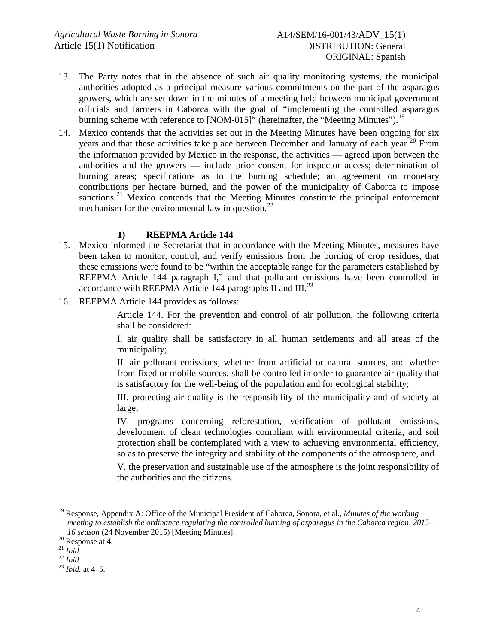- 13. The Party notes that in the absence of such air quality monitoring systems, the municipal authorities adopted as a principal measure various commitments on the part of the asparagus growers, which are set down in the minutes of a meeting held between municipal government officials and farmers in Caborca with the goal of "implementing the controlled asparagus burning scheme with reference to [NOM-015]" (hereinafter, the "Meeting Minutes").<sup>[19](#page-3-0)</sup>
- 14. Mexico contends that the activities set out in the Meeting Minutes have been ongoing for six years and that these activities take place between December and January of each year.<sup>[20](#page-3-1)</sup> From the information provided by Mexico in the response, the activities — agreed upon between the authorities and the growers — include prior consent for inspector access; determination of burning areas; specifications as to the burning schedule; an agreement on monetary contributions per hectare burned, and the power of the municipality of Caborca to impose sanctions.<sup>[21](#page-3-2)</sup> Mexico contends that the Meeting Minutes constitute the principal enforcement mechanism for the environmental law in question.<sup>[22](#page-3-3)</sup>

#### **1) REEPMA Article 144**

- 15. Mexico informed the Secretariat that in accordance with the Meeting Minutes, measures have been taken to monitor, control, and verify emissions from the burning of crop residues, that these emissions were found to be "within the acceptable range for the parameters established by REEPMA Article 144 paragraph I," and that pollutant emissions have been controlled in accordance with REEPMA Article 144 paragraphs II and III.<sup>[23](#page-3-4)</sup>
- 16. REEPMA Article 144 provides as follows:

Article 144. For the prevention and control of air pollution, the following criteria shall be considered:

I. air quality shall be satisfactory in all human settlements and all areas of the municipality;

II. air pollutant emissions, whether from artificial or natural sources, and whether from fixed or mobile sources, shall be controlled in order to guarantee air quality that is satisfactory for the well-being of the population and for ecological stability;

III. protecting air quality is the responsibility of the municipality and of society at large;

IV. programs concerning reforestation, verification of pollutant emissions, development of clean technologies compliant with environmental criteria, and soil protection shall be contemplated with a view to achieving environmental efficiency, so as to preserve the integrity and stability of the components of the atmosphere, and

V. the preservation and sustainable use of the atmosphere is the joint responsibility of the authorities and the citizens.

<span id="page-3-0"></span> <sup>19</sup> Response, Appendix A: Office of the Municipal President of Caborca, Sonora, et al., *Minutes of the working meeting to establish the ordinance regulating the controlled burning of asparagus in the Caborca region, 2015– 16 season* (24 November 2015) [Meeting Minutes].<br><sup>20</sup> Response at 4.<br><sup>21</sup> *Ibid.* <sup>22</sup> *Ibid.* at 4–5.

<span id="page-3-1"></span>

<span id="page-3-2"></span>

<span id="page-3-4"></span><span id="page-3-3"></span>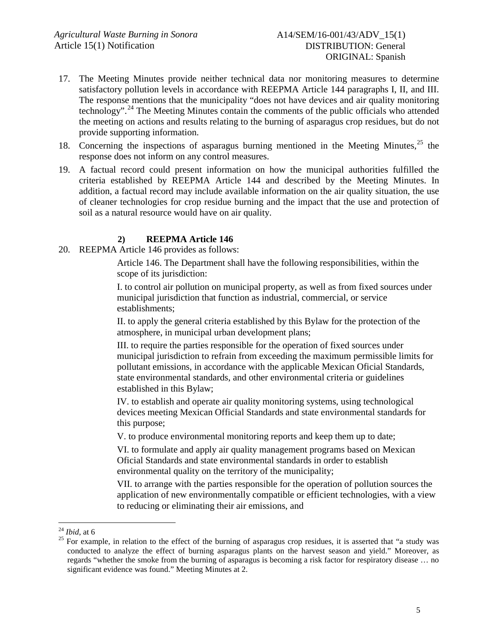- 17. The Meeting Minutes provide neither technical data nor monitoring measures to determine satisfactory pollution levels in accordance with REEPMA Article 144 paragraphs I, II, and III. The response mentions that the municipality "does not have devices and air quality monitoring technology".<sup>[24](#page-4-0)</sup> The Meeting Minutes contain the comments of the public officials who attended the meeting on actions and results relating to the burning of asparagus crop residues, but do not provide supporting information.
- 18. Concerning the inspections of asparagus burning mentioned in the Meeting Minutes,<sup>[25](#page-4-1)</sup> the response does not inform on any control measures.
- 19. A factual record could present information on how the municipal authorities fulfilled the criteria established by REEPMA Article 144 and described by the Meeting Minutes. In addition, a factual record may include available information on the air quality situation, the use of cleaner technologies for crop residue burning and the impact that the use and protection of soil as a natural resource would have on air quality.

### **2) REEPMA Article 146**

20. REEPMA Article 146 provides as follows:

Article 146. The Department shall have the following responsibilities, within the scope of its jurisdiction:

I. to control air pollution on municipal property, as well as from fixed sources under municipal jurisdiction that function as industrial, commercial, or service establishments;

II. to apply the general criteria established by this Bylaw for the protection of the atmosphere, in municipal urban development plans;

III. to require the parties responsible for the operation of fixed sources under municipal jurisdiction to refrain from exceeding the maximum permissible limits for pollutant emissions, in accordance with the applicable Mexican Oficial Standards, state environmental standards, and other environmental criteria or guidelines established in this Bylaw;

IV. to establish and operate air quality monitoring systems, using technological devices meeting Mexican Official Standards and state environmental standards for this purpose;

V. to produce environmental monitoring reports and keep them up to date;

VI. to formulate and apply air quality management programs based on Mexican Oficial Standards and state environmental standards in order to establish environmental quality on the territory of the municipality;

VII. to arrange with the parties responsible for the operation of pollution sources the application of new environmentally compatible or efficient technologies, with a view to reducing or eliminating their air emissions, and

<span id="page-4-1"></span><span id="page-4-0"></span><sup>&</sup>lt;sup>24</sup> *Ibid*, at 6<br><sup>25</sup> For example, in relation to the effect of the burning of asparagus crop residues, it is asserted that "a study was conducted to analyze the effect of burning asparagus plants on the harvest season and yield." Moreover, as regards "whether the smoke from the burning of asparagus is becoming a risk factor for respiratory disease … no significant evidence was found." Meeting Minutes at 2.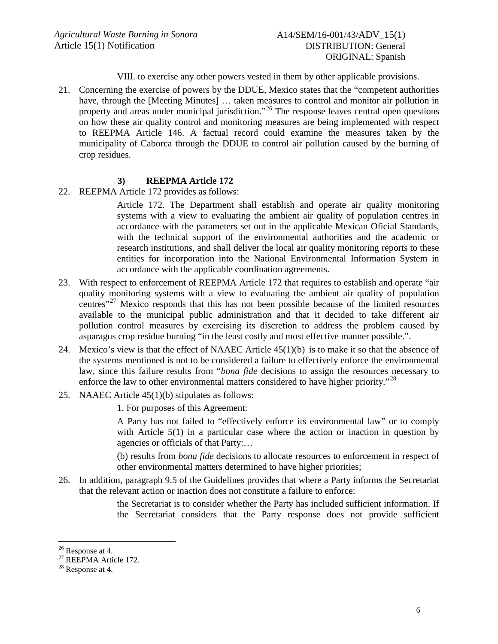VIII. to exercise any other powers vested in them by other applicable provisions.

21. Concerning the exercise of powers by the DDUE, Mexico states that the "competent authorities have, through the [Meeting Minutes] ... taken measures to control and monitor air pollution in property and areas under municipal jurisdiction."<sup>[26](#page-5-0)</sup> The response leaves central open questions on how these air quality control and monitoring measures are being implemented with respect to REEPMA Article 146. A factual record could examine the measures taken by the municipality of Caborca through the DDUE to control air pollution caused by the burning of crop residues.

### **3) REEPMA Article 172**

22. REEPMA Article 172 provides as follows:

Article 172. The Department shall establish and operate air quality monitoring systems with a view to evaluating the ambient air quality of population centres in accordance with the parameters set out in the applicable Mexican Oficial Standards, with the technical support of the environmental authorities and the academic or research institutions, and shall deliver the local air quality monitoring reports to these entities for incorporation into the National Environmental Information System in accordance with the applicable coordination agreements.

- 23. With respect to enforcement of REEPMA Article 172 that requires to establish and operate "air quality monitoring systems with a view to evaluating the ambient air quality of population centres"[27](#page-5-1) Mexico responds that this has not been possible because of the limited resources available to the municipal public administration and that it decided to take different air pollution control measures by exercising its discretion to address the problem caused by asparagus crop residue burning "in the least costly and most effective manner possible.".
- 24. Mexico's view is that the effect of NAAEC Article 45(1)(b) is to make it so that the absence of the systems mentioned is not to be considered a failure to effectively enforce the environmental law, since this failure results from "*bona fide* decisions to assign the resources necessary to enforce the law to other environmental matters considered to have higher priority."<sup>[28](#page-5-2)</sup>
- 25. NAAEC Article 45(1)(b) stipulates as follows:
	- 1. For purposes of this Agreement:

A Party has not failed to "effectively enforce its environmental law" or to comply with Article 5(1) in a particular case where the action or inaction in question by agencies or officials of that Party:…

(b) results from *bona fide* decisions to allocate resources to enforcement in respect of other environmental matters determined to have higher priorities;

26. In addition, paragraph 9.5 of the Guidelines provides that where a Party informs the Secretariat that the relevant action or inaction does not constitute a failure to enforce:

> the Secretariat is to consider whether the Party has included sufficient information. If the Secretariat considers that the Party response does not provide sufficient

<span id="page-5-1"></span><span id="page-5-0"></span><sup>&</sup>lt;sup>26</sup> Response at 4.<br><sup>27</sup> REEPMA Article 172.<br><sup>28</sup> Response at 4.

<span id="page-5-2"></span>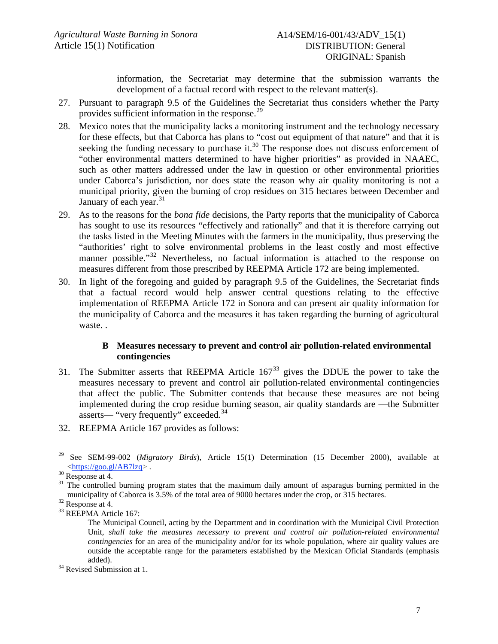information, the Secretariat may determine that the submission warrants the development of a factual record with respect to the relevant matter(s).

- 27. Pursuant to paragraph 9.5 of the Guidelines the Secretariat thus considers whether the Party provides sufficient information in the response.<sup>[29](#page-6-0)</sup>
- 28. Mexico notes that the municipality lacks a monitoring instrument and the technology necessary for these effects, but that Caborca has plans to "cost out equipment of that nature" and that it is seeking the funding necessary to purchase it.<sup>[30](#page-6-1)</sup> The response does not discuss enforcement of "other environmental matters determined to have higher priorities" as provided in NAAEC, such as other matters addressed under the law in question or other environmental priorities under Caborca's jurisdiction, nor does state the reason why air quality monitoring is not a municipal priority, given the burning of crop residues on 315 hectares between December and January of each year.<sup>[31](#page-6-2)</sup>
- 29. As to the reasons for the *bona fide* decisions, the Party reports that the municipality of Caborca has sought to use its resources "effectively and rationally" and that it is therefore carrying out the tasks listed in the Meeting Minutes with the farmers in the municipality, thus preserving the "authorities' right to solve environmental problems in the least costly and most effective manner possible."<sup>[32](#page-6-3)</sup> Nevertheless, no factual information is attached to the response on measures different from those prescribed by REEPMA Article 172 are being implemented.
- <span id="page-6-6"></span>30. In light of the foregoing and guided by paragraph 9.5 of the Guidelines, the Secretariat finds that a factual record would help answer central questions relating to the effective implementation of REEPMA Article 172 in Sonora and can present air quality information for the municipality of Caborca and the measures it has taken regarding the burning of agricultural waste. .

#### **B Measures necessary to prevent and control air pollution-related environmental contingencies**

- <span id="page-6-7"></span>31. The Submitter asserts that REEPMA Article  $167<sup>33</sup>$  $167<sup>33</sup>$  $167<sup>33</sup>$  gives the DDUE the power to take the measures necessary to prevent and control air pollution-related environmental contingencies that affect the public. The Submitter contends that because these measures are not being implemented during the crop residue burning season, air quality standards are —the Submitter asserts— "very frequently" exceeded.[34](#page-6-5)
- 32. REEPMA Article 167 provides as follows:

<span id="page-6-0"></span><sup>&</sup>lt;sup>29</sup> See SEM-99-002 (*Migratory Birds*), Article 15(1) Determination (15 December 2000), available at <https://goo.gl/AB7lzq>.

<span id="page-6-2"></span><span id="page-6-1"></span> $\frac{30}{31}$  Response at 4.  $\frac{31}{31}$  The controlled burning program states that the maximum daily amount of asparagus burning permitted in the municipality of Caborca is 3.5% of the total area of 9000 hectares under the crop, or 315 hectares.<br><sup>32</sup> Response at 4.<br><sup>33</sup> REEPMA Article 167:

<span id="page-6-3"></span>

<span id="page-6-4"></span>

The Municipal Council, acting by the Department and in coordination with the Municipal Civil Protection Unit, *shall take the measures necessary to prevent and control air pollution-related environmental contingencies* for an area of the municipality and/or for its whole population, where air quality values are outside the acceptable range for the parameters established by the Mexican Oficial Standards (emphasis

<span id="page-6-5"></span>added).<br><sup>34</sup> Revised Submission at 1.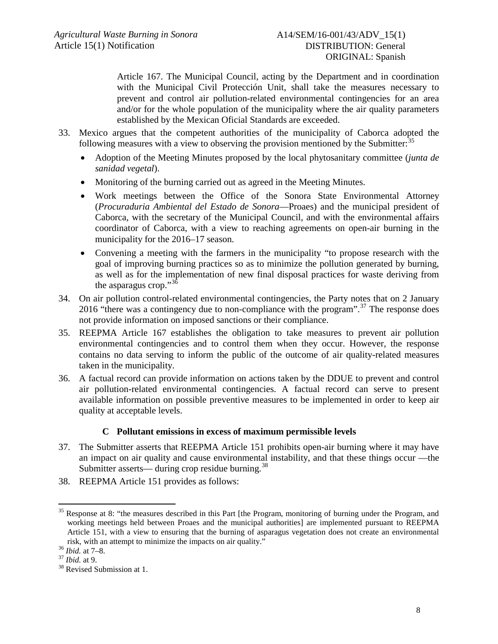Article 167. The Municipal Council, acting by the Department and in coordination with the Municipal Civil Protección Unit, shall take the measures necessary to prevent and control air pollution-related environmental contingencies for an area and/or for the whole population of the municipality where the air quality parameters established by the Mexican Oficial Standards are exceeded.

- <span id="page-7-4"></span>33. Mexico argues that the competent authorities of the municipality of Caborca adopted the following measures with a view to observing the provision mentioned by the Submitter: $35$ 
	- Adoption of the Meeting Minutes proposed by the local phytosanitary committee (*junta de sanidad vegetal*).
	- Monitoring of the burning carried out as agreed in the Meeting Minutes.
	- Work meetings between the Office of the Sonora State Environmental Attorney (*Procuraduria Ambiental del Estado de Sonora*—Proaes) and the municipal president of Caborca, with the secretary of the Municipal Council, and with the environmental affairs coordinator of Caborca, with a view to reaching agreements on open-air burning in the municipality for the 2016–17 season.
	- Convening a meeting with the farmers in the municipality "to propose research with the goal of improving burning practices so as to minimize the pollution generated by burning, as well as for the implementation of new final disposal practices for waste deriving from the asparagus crop."[36](#page-7-1)
- 34. On air pollution control-related environmental contingencies, the Party notes that on 2 January 2016 "there was a contingency due to non-compliance with the program".<sup>[37](#page-7-2)</sup> The response does not provide information on imposed sanctions or their compliance.
- 35. REEPMA Article 167 establishes the obligation to take measures to prevent air pollution environmental contingencies and to control them when they occur. However, the response contains no data serving to inform the public of the outcome of air quality-related measures taken in the municipality.
- <span id="page-7-5"></span>36. A factual record can provide information on actions taken by the DDUE to prevent and control air pollution-related environmental contingencies. A factual record can serve to present available information on possible preventive measures to be implemented in order to keep air quality at acceptable levels.

### **C Pollutant emissions in excess of maximum permissible levels**

- <span id="page-7-6"></span>37. The Submitter asserts that REEPMA Article 151 prohibits open-air burning where it may have an impact on air quality and cause environmental instability, and that these things occur —the Submitter asserts— during crop residue burning.<sup>[38](#page-7-3)</sup>
- 38. REEPMA Article 151 provides as follows:

<span id="page-7-0"></span><sup>&</sup>lt;sup>35</sup> Response at 8: "the measures described in this Part [the Program, monitoring of burning under the Program, and working meetings held between Proaes and the municipal authorities] are implemented pursuant to REEPMA Article 151, with a view to ensuring that the burning of asparagus vegetation does not create an environmental risk, with an attempt to minimize the impacts on air quality." <sup>36</sup> *Ibid.* at 7–8. 37 *Ibid.* at 9. <sup>38</sup> Revised Submission at 1.

<span id="page-7-1"></span>

<span id="page-7-2"></span>

<span id="page-7-3"></span>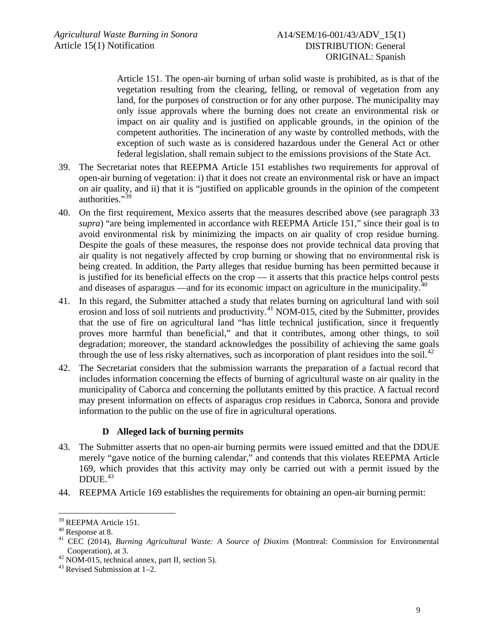Article 151. The open-air burning of urban solid waste is prohibited, as is that of the vegetation resulting from the clearing, felling, or removal of vegetation from any land, for the purposes of construction or for any other purpose. The municipality may only issue approvals where the burning does not create an environmental risk or impact on air quality and is justified on applicable grounds, in the opinion of the competent authorities. The incineration of any waste by controlled methods, with the exception of such waste as is considered hazardous under the General Act or other federal legislation, shall remain subject to the emissions provisions of the State Act.

- 39. The Secretariat notes that REEPMA Article 151 establishes two requirements for approval of open-air burning of vegetation: i) that it does not create an environmental risk or have an impact on air quality, and ii) that it is "justified on applicable grounds in the opinion of the competent authorities."<sup>[39](#page-8-0)</sup>
- 40. On the first requirement, Mexico asserts that the measures described above (see paragraph [33](#page-7-4) *supra*) "are being implemented in accordance with REEPMA Article 151," since their goal is to avoid environmental risk by minimizing the impacts on air quality of crop residue burning. Despite the goals of these measures, the response does not provide technical data proving that air quality is not negatively affected by crop burning or showing that no environmental risk is being created. In addition, the Party alleges that residue burning has been permitted because it is justified for its beneficial effects on the crop — it asserts that this practice helps control pests and diseases of asparagus —and for its economic impact on agriculture in the municipality. $40$
- 41. In this regard, the Submitter attached a study that relates burning on agricultural land with soil erosion and loss of soil nutrients and productivity.[41](#page-8-2) NOM-015, cited by the Submitter, provides that the use of fire on agricultural land "has little technical justification, since it frequently proves more harmful than beneficial," and that it contributes, among other things, to soil degradation; moreover, the standard acknowledges the possibility of achieving the same goals through the use of less risky alternatives, such as incorporation of plant residues into the soil.<sup>[42](#page-8-3)</sup>
- <span id="page-8-6"></span>42. The Secretariat considers that the submission warrants the preparation of a factual record that includes information concerning the effects of burning of agricultural waste on air quality in the municipality of Caborca and concerning the pollutants emitted by this practice. A factual record may present information on effects of asparagus crop residues in Caborca, Sonora and provide information to the public on the use of fire in agricultural operations.

### <span id="page-8-5"></span>**D Alleged lack of burning permits**

- <span id="page-8-7"></span>43. The Submitter asserts that no open-air burning permits were issued emitted and that the DDUE merely "gave notice of the burning calendar," and contends that this violates REEPMA Article 169, which provides that this activity may only be carried out with a permit issued by the  $DDUE.<sup>43</sup>$  $DDUE.<sup>43</sup>$  $DDUE.<sup>43</sup>$
- 44. REEPMA Article 169 establishes the requirements for obtaining an open-air burning permit:

<span id="page-8-2"></span><span id="page-8-1"></span>

<span id="page-8-0"></span><sup>&</sup>lt;sup>39</sup> REEPMA Article 151.<br><sup>40</sup> Response at 8.<br><sup>41</sup> CEC (2014), *Burning Agricultural Waste: A Source of Dioxins* (Montreal: Commission for Environmental<br>Cooperation), at 3.

<span id="page-8-4"></span><span id="page-8-3"></span><sup>&</sup>lt;sup>42</sup> NOM-015, technical annex, part II, section 5).<br><sup>43</sup> Revised Submission at 1–2.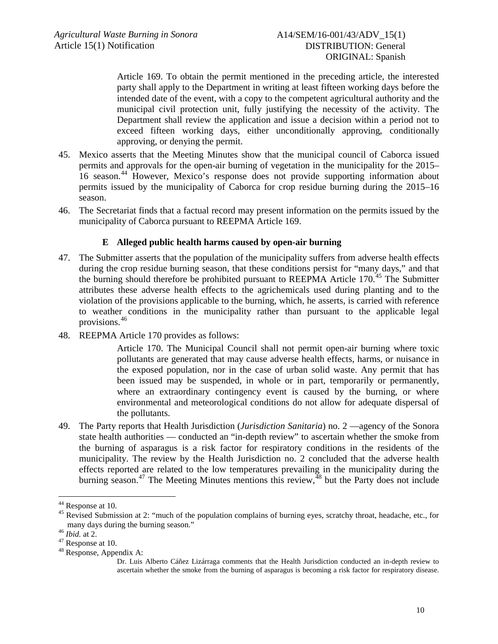Article 169. To obtain the permit mentioned in the preceding article, the interested party shall apply to the Department in writing at least fifteen working days before the intended date of the event, with a copy to the competent agricultural authority and the municipal civil protection unit, fully justifying the necessity of the activity. The Department shall review the application and issue a decision within a period not to exceed fifteen working days, either unconditionally approving, conditionally approving, or denying the permit.

- 45. Mexico asserts that the Meeting Minutes show that the municipal council of Caborca issued permits and approvals for the open-air burning of vegetation in the municipality for the 2015– 16 season.[44](#page-9-0) However, Mexico's response does not provide supporting information about permits issued by the municipality of Caborca for crop residue burning during the 2015–16 season.
- <span id="page-9-5"></span>46. The Secretariat finds that a factual record may present information on the permits issued by the municipality of Caborca pursuant to REEPMA Article 169.

### **E Alleged public health harms caused by open-air burning**

- <span id="page-9-6"></span>47. The Submitter asserts that the population of the municipality suffers from adverse health effects during the crop residue burning season, that these conditions persist for "many days," and that the burning should therefore be prohibited pursuant to REEPMA Article  $170<sup>45</sup>$  $170<sup>45</sup>$  $170<sup>45</sup>$  The Submitter attributes these adverse health effects to the agrichemicals used during planting and to the violation of the provisions applicable to the burning, which, he asserts, is carried with reference to weather conditions in the municipality rather than pursuant to the applicable legal provisions.[46](#page-9-2)
- 48. REEPMA Article 170 provides as follows:

Article 170. The Municipal Council shall not permit open-air burning where toxic pollutants are generated that may cause adverse health effects, harms, or nuisance in the exposed population, nor in the case of urban solid waste. Any permit that has been issued may be suspended, in whole or in part, temporarily or permanently, where an extraordinary contingency event is caused by the burning, or where environmental and meteorological conditions do not allow for adequate dispersal of the pollutants.

49. The Party reports that Health Jurisdiction (*Jurisdiction Sanitaria*) no. 2 —agency of the Sonora state health authorities — conducted an "in-depth review" to ascertain whether the smoke from the burning of asparagus is a risk factor for respiratory conditions in the residents of the municipality. The review by the Health Jurisdiction no. 2 concluded that the adverse health effects reported are related to the low temperatures prevailing in the municipality during the burning season.<sup>[47](#page-9-3)</sup> The Meeting Minutes mentions this review,  $48$  but the Party does not include

<span id="page-9-1"></span><span id="page-9-0"></span><sup>&</sup>lt;sup>44</sup> Response at 10.<br><sup>45</sup> Revised Submission at 2: "much of the population complains of burning eyes, scratchy throat, headache, etc., for many days during the burning season."<br><sup>46</sup> *Ibid.* at 2.<br><sup>47</sup> Response at 10.<br><sup>48</sup> Response, Appendix A:

<span id="page-9-2"></span>

<span id="page-9-3"></span>

<span id="page-9-4"></span>

Dr. Luis Alberto Cáñez Lizárraga comments that the Health Jurisdiction conducted an in-depth review to ascertain whether the smoke from the burning of asparagus is becoming a risk factor for respiratory disease.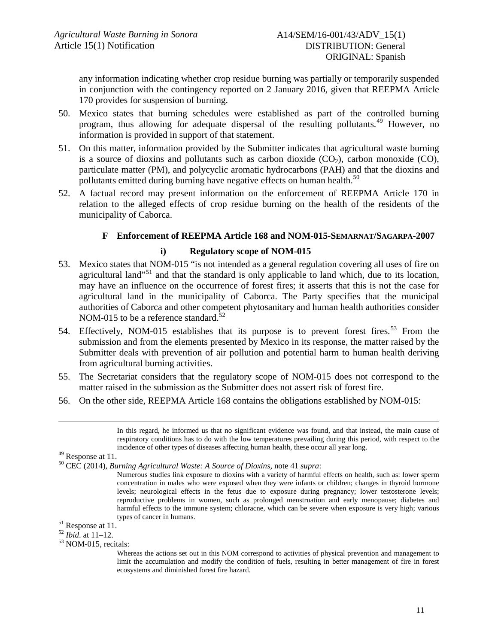any information indicating whether crop residue burning was partially or temporarily suspended in conjunction with the contingency reported on 2 January 2016, given that REEPMA Article 170 provides for suspension of burning.

- 50. Mexico states that burning schedules were established as part of the controlled burning program, thus allowing for adequate dispersal of the resulting pollutants.[49](#page-10-0) However, no information is provided in support of that statement.
- 51. On this matter, information provided by the Submitter indicates that agricultural waste burning is a source of dioxins and pollutants such as carbon dioxide  $(CO<sub>2</sub>)$ , carbon monoxide  $(CO)$ , particulate matter (PM), and polycyclic aromatic hydrocarbons (PAH) and that the dioxins and pollutants emitted during burning have negative effects on human health.<sup>[50](#page-10-1)</sup>
- <span id="page-10-5"></span>52. A factual record may present information on the enforcement of REEPMA Article 170 in relation to the alleged effects of crop residue burning on the health of the residents of the municipality of Caborca.

# **F Enforcement of REEPMA Article 168 and NOM-015-SEMARNAT/SAGARPA-2007**

### **i) Regulatory scope of NOM-015**

- 53. Mexico states that NOM-015 "is not intended as a general regulation covering all uses of fire on agricultural land<sup>"[51](#page-10-2)</sup> and that the standard is only applicable to land which, due to its location, may have an influence on the occurrence of forest fires; it asserts that this is not the case for agricultural land in the municipality of Caborca. The Party specifies that the municipal authorities of Caborca and other competent phytosanitary and human health authorities consider NOM-015 to be a reference standard. $52$
- 54. Effectively, NOM-015 establishes that its purpose is to prevent forest fires.<sup>[53](#page-10-4)</sup> From the submission and from the elements presented by Mexico in its response, the matter raised by the Submitter deals with prevention of air pollution and potential harm to human health deriving from agricultural burning activities.
- 55. The Secretariat considers that the regulatory scope of NOM-015 does not correspond to the matter raised in the submission as the Submitter does not assert risk of forest fire.
- 56. On the other side, REEPMA Article 168 contains the obligations established by NOM-015:

 In this regard, he informed us that no significant evidence was found, and that instead, the main cause of respiratory conditions has to do with the low temperatures prevailing during this period, with respect to the

<span id="page-10-0"></span>

incidence of other types of diseases affecting human health, these occur all year long. <sup>49</sup> Response at 11. <sup>50</sup> CEC (2014), *Burning Agricultural Waste: A Source of Dioxins,* note [41](#page-8-5) *supra*:

<span id="page-10-1"></span>Numerous studies link exposure to dioxins with a variety of harmful effects on health, such as: lower sperm concentration in males who were exposed when they were infants or children; changes in thyroid hormone levels; neurological effects in the fetus due to exposure during pregnancy; lower testosterone levels; reproductive problems in women, such as prolonged menstruation and early menopause; diabetes and harmful effects to the immune system; chloracne, which can be severe when exposure is very high; various types of cancer in humans.<br><sup>51</sup> Response at 11.<br><sup>52</sup> *Ibid*. at 11–12.<br><sup>53</sup> NOM-015, recitals:

<span id="page-10-2"></span>

<span id="page-10-3"></span>

<span id="page-10-4"></span>

Whereas the actions set out in this NOM correspond to activities of physical prevention and management to limit the accumulation and modify the condition of fuels, resulting in better management of fire in forest ecosystems and diminished forest fire hazard.